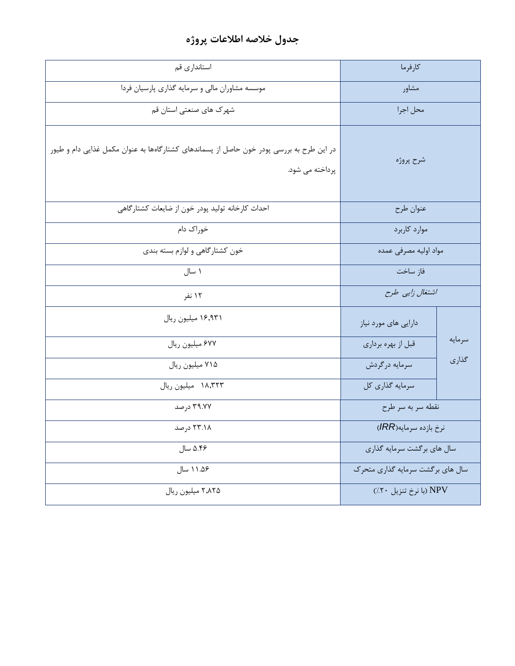## **جدول خالصه اطالعات پروژه**

| استانداری قم                                                                                                | كارفرما                          |        |
|-------------------------------------------------------------------------------------------------------------|----------------------------------|--------|
| موسسه مشاوران مالی و سرمایه گذاری پارسیان فردا                                                              | مشاور                            |        |
| شهرک های صنعتی استان قم                                                                                     | محل اجرا                         |        |
| در این طرح به بررسی پودر خون حاصل از پسماندهای کشتارگاهها به عنوان مکمل غذایی دام و طیور<br>پرداخته می شود. | شرح پروژه                        |        |
| احداث كارخانه توليد پودر خون از ضايعات كشتارگاهي                                                            | عنوان طرح                        |        |
| خوراک دام                                                                                                   | موارد كاربرد                     |        |
| خون کشتارگاهی و لوازم بسته بندی                                                                             | مواد اوليه مصرفى عمده            |        |
| ۱ سال                                                                                                       | فاز ساخت                         |        |
| ۱۲ نفر                                                                                                      | اشتغال زایی طرح                  |        |
| ۱۶٬۹۳۱ میلیون ریال                                                                                          | دارایی های مورد نیاز             |        |
| ۶۷۷ میلیون ریال                                                                                             | قبل از بهره برداري               | سرمايه |
| ۷۱۵ میلیون ریال                                                                                             | سرمايه درگردش                    | گذاری  |
| ١٨,٣٢٣ ميليون ريال                                                                                          | سرمايه گذاري كل                  |        |
| ۳۹.۷۷ درصد                                                                                                  | نقطه سربه سر طرح                 |        |
| ۲۳.۱۸ درصد                                                                                                  | نرخ بازده سرمايه(IRR)            |        |
| ۵.۴۶ سال                                                                                                    | سال های برگشت سرمایه گذاری       |        |
| ۱۱.۵۶ سال                                                                                                   | سال های برگشت سرمایه گذاری متحرک |        |
| ۲٬۸۲۵ میلیون ریال                                                                                           | NPV (با نرخ تنزيل ٢٠/)           |        |